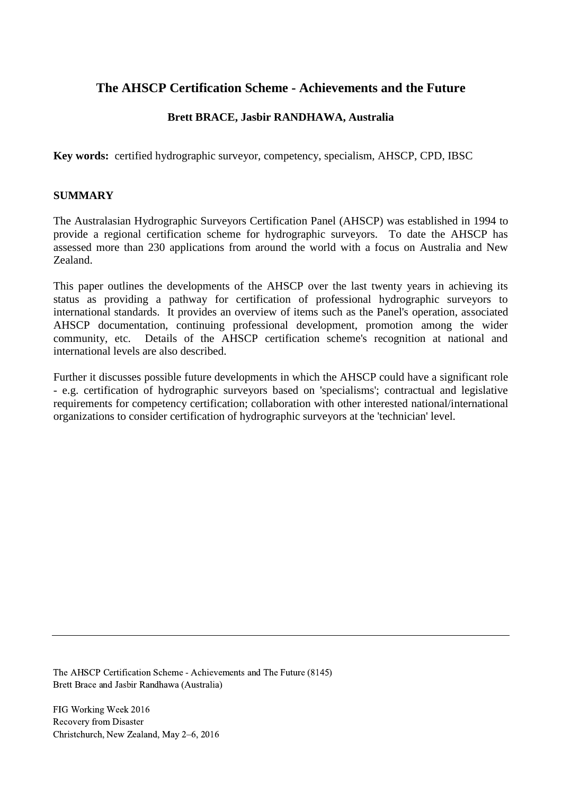# **The AHSCP Certification Scheme - Achievements and the Future**

### **Brett BRACE, Jasbir RANDHAWA, Australia**

**Key words:** certified hydrographic surveyor, competency, specialism, AHSCP, CPD, IBSC

#### **SUMMARY**

The Australasian Hydrographic Surveyors Certification Panel (AHSCP) was established in 1994 to provide a regional certification scheme for hydrographic surveyors. To date the AHSCP has assessed more than 230 applications from around the world with a focus on Australia and New Zealand.

This paper outlines the developments of the AHSCP over the last twenty years in achieving its status as providing a pathway for certification of professional hydrographic surveyors to international standards. It provides an overview of items such as the Panel's operation, associated AHSCP documentation, continuing professional development, promotion among the wider community, etc. Details of the AHSCP certification scheme's recognition at national and international levels are also described.

Further it discusses possible future developments in which the AHSCP could have a significant role - e.g. certification of hydrographic surveyors based on 'specialisms'; contractual and legislative requirements for competency certification; collaboration with other interested national/international organizations to consider certification of hydrographic surveyors at the 'technician' level.

The AHSCP Certification Scheme - Achievements and The Future (8145) Brett Brace and Jasbir Randhawa (Australia)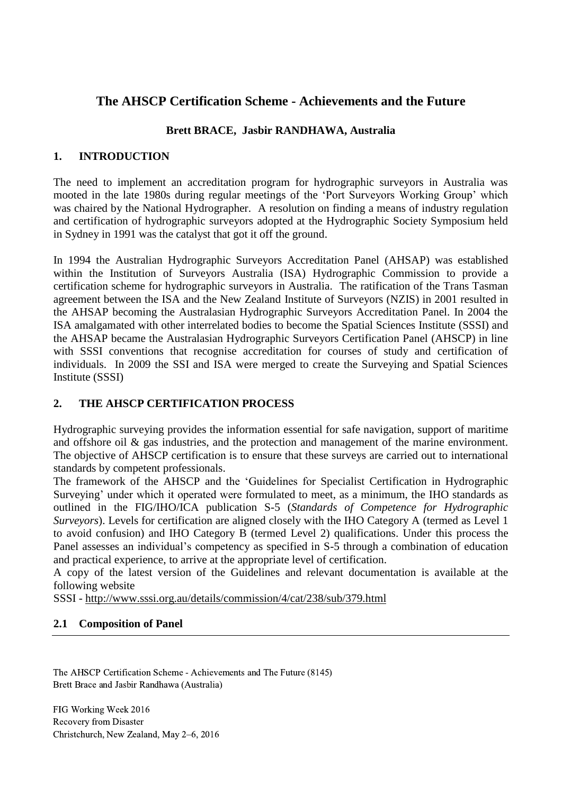# **The AHSCP Certification Scheme - Achievements and the Future**

# **Brett BRACE, Jasbir RANDHAWA, Australia**

### **1. INTRODUCTION**

The need to implement an accreditation program for hydrographic surveyors in Australia was mooted in the late 1980s during regular meetings of the 'Port Surveyors Working Group' which was chaired by the National Hydrographer. A resolution on finding a means of industry regulation and certification of hydrographic surveyors adopted at the Hydrographic Society Symposium held in Sydney in 1991 was the catalyst that got it off the ground.

In 1994 the Australian Hydrographic Surveyors Accreditation Panel (AHSAP) was established within the Institution of Surveyors Australia (ISA) Hydrographic Commission to provide a certification scheme for hydrographic surveyors in Australia. The ratification of the Trans Tasman agreement between the ISA and the New Zealand Institute of Surveyors (NZIS) in 2001 resulted in the AHSAP becoming the Australasian Hydrographic Surveyors Accreditation Panel. In 2004 the ISA amalgamated with other interrelated bodies to become the Spatial Sciences Institute (SSSI) and the AHSAP became the Australasian Hydrographic Surveyors Certification Panel (AHSCP) in line with SSSI conventions that recognise accreditation for courses of study and certification of individuals. In 2009 the SSI and ISA were merged to create the Surveying and Spatial Sciences Institute (SSSI)

## **2. THE AHSCP CERTIFICATION PROCESS**

Hydrographic surveying provides the information essential for safe navigation, support of maritime and offshore oil & gas industries, and the protection and management of the marine environment. The objective of AHSCP certification is to ensure that these surveys are carried out to international standards by competent professionals.

The framework of the AHSCP and the 'Guidelines for Specialist Certification in Hydrographic Surveying' under which it operated were formulated to meet, as a minimum, the IHO standards as outlined in the FIG/IHO/ICA publication S-5 (*Standards of Competence for Hydrographic Surveyors*). Levels for certification are aligned closely with the IHO Category A (termed as Level 1 to avoid confusion) and IHO Category B (termed Level 2) qualifications. Under this process the Panel assesses an individual's competency as specified in S-5 through a combination of education and practical experience, to arrive at the appropriate level of certification.

A copy of the latest version of the Guidelines and relevant documentation is available at the following website

SSSI - <http://www.sssi.org.au/details/commission/4/cat/238/sub/379.html>

### **2.1 Composition of Panel**

The AHSCP Certification Scheme - Achievements and The Future (8145) Brett Brace and Jasbir Randhawa (Australia)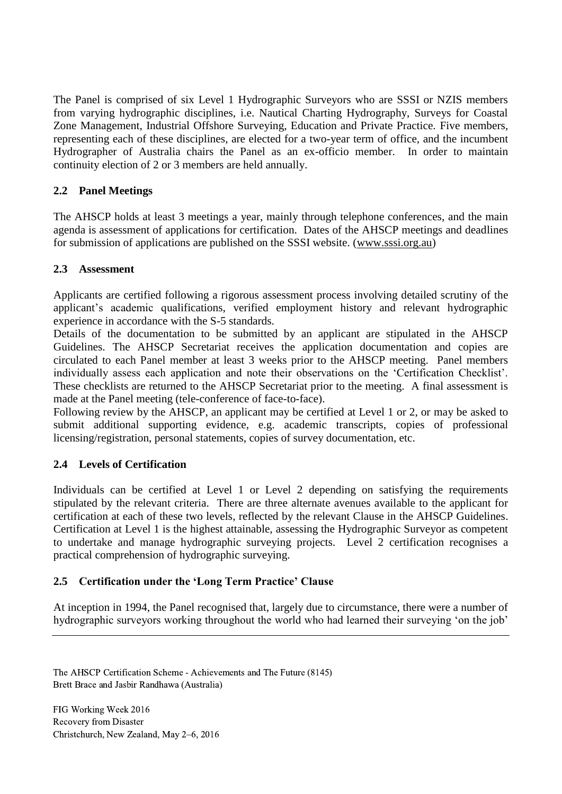The Panel is comprised of six Level 1 Hydrographic Surveyors who are SSSI or NZIS members from varying hydrographic disciplines, i.e. Nautical Charting Hydrography, Surveys for Coastal Zone Management, Industrial Offshore Surveying, Education and Private Practice. Five members, representing each of these disciplines, are elected for a two-year term of office, and the incumbent Hydrographer of Australia chairs the Panel as an ex-officio member. In order to maintain continuity election of 2 or 3 members are held annually.

### **2.2 Panel Meetings**

The AHSCP holds at least 3 meetings a year, mainly through telephone conferences, and the main agenda is assessment of applications for certification. Dates of the AHSCP meetings and deadlines for submission of applications are published on the SSSI website. [\(www.sssi.org.au\)](http://www.sssi.org.au/)

### **2.3 Assessment**

Applicants are certified following a rigorous assessment process involving detailed scrutiny of the applicant's academic qualifications, verified employment history and relevant hydrographic experience in accordance with the S-5 standards.

Details of the documentation to be submitted by an applicant are stipulated in the AHSCP Guidelines. The AHSCP Secretariat receives the application documentation and copies are circulated to each Panel member at least 3 weeks prior to the AHSCP meeting. Panel members individually assess each application and note their observations on the 'Certification Checklist'. These checklists are returned to the AHSCP Secretariat prior to the meeting. A final assessment is made at the Panel meeting (tele-conference of face-to-face).

Following review by the AHSCP, an applicant may be certified at Level 1 or 2, or may be asked to submit additional supporting evidence, e.g. academic transcripts, copies of professional licensing/registration, personal statements, copies of survey documentation, etc.

### **2.4 Levels of Certification**

Individuals can be certified at Level 1 or Level 2 depending on satisfying the requirements stipulated by the relevant criteria. There are three alternate avenues available to the applicant for certification at each of these two levels, reflected by the relevant Clause in the AHSCP Guidelines. Certification at Level 1 is the highest attainable, assessing the Hydrographic Surveyor as competent to undertake and manage hydrographic surveying projects. Level 2 certification recognises a practical comprehension of hydrographic surveying.

### **2.5 Certification under the 'Long Term Practice' Clause**

At inception in 1994, the Panel recognised that, largely due to circumstance, there were a number of hydrographic surveyors working throughout the world who had learned their surveying 'on the job'

The AHSCP Certification Scheme - Achievements and The Future (8145) Brett Brace and Jasbir Randhawa (Australia)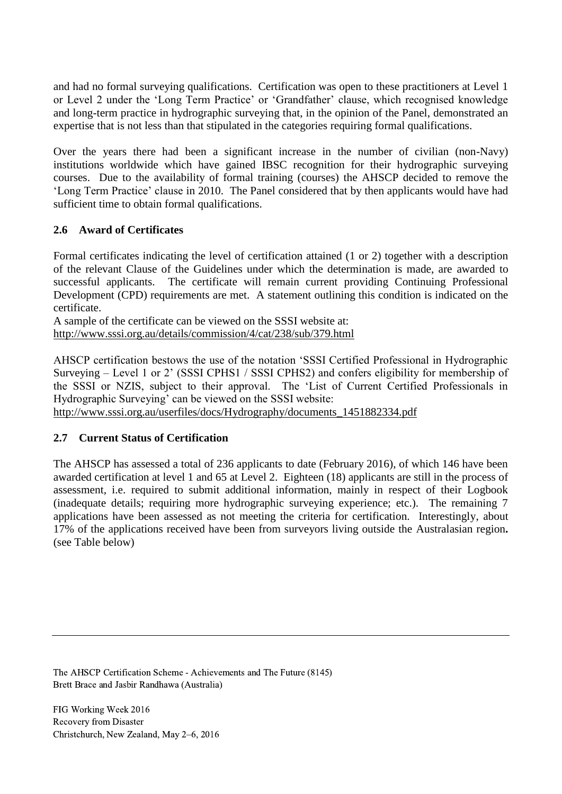and had no formal surveying qualifications. Certification was open to these practitioners at Level 1 or Level 2 under the 'Long Term Practice' or 'Grandfather' clause, which recognised knowledge and long-term practice in hydrographic surveying that, in the opinion of the Panel, demonstrated an expertise that is not less than that stipulated in the categories requiring formal qualifications.

Over the years there had been a significant increase in the number of civilian (non-Navy) institutions worldwide which have gained IBSC recognition for their hydrographic surveying courses. Due to the availability of formal training (courses) the AHSCP decided to remove the 'Long Term Practice' clause in 2010. The Panel considered that by then applicants would have had sufficient time to obtain formal qualifications.

### **2.6 Award of Certificates**

Formal certificates indicating the level of certification attained (1 or 2) together with a description of the relevant Clause of the Guidelines under which the determination is made, are awarded to successful applicants. The certificate will remain current providing Continuing Professional Development (CPD) requirements are met. A statement outlining this condition is indicated on the certificate.

A sample of the certificate can be viewed on the SSSI website at: <http://www.sssi.org.au/details/commission/4/cat/238/sub/379.html>

AHSCP certification bestows the use of the notation 'SSSI Certified Professional in Hydrographic Surveying – Level 1 or 2' (SSSI CPHS1 / SSSI CPHS2) and confers eligibility for membership of the SSSI or NZIS, subject to their approval. The 'List of Current Certified Professionals in Hydrographic Surveying' can be viewed on the SSSI website:

http://www.sssi.org.au/userfiles/docs/Hydrography/documents\_1451882334.pdf

## **2.7 Current Status of Certification**

The AHSCP has assessed a total of 236 applicants to date (February 2016), of which 146 have been awarded certification at level 1 and 65 at Level 2. Eighteen (18) applicants are still in the process of assessment, i.e. required to submit additional information, mainly in respect of their Logbook (inadequate details; requiring more hydrographic surveying experience; etc.). The remaining 7 applications have been assessed as not meeting the criteria for certification. Interestingly, about 17% of the applications received have been from surveyors living outside the Australasian region**.**  (see Table below)

The AHSCP Certification Scheme - Achievements and The Future (8145) Brett Brace and Jasbir Randhawa (Australia)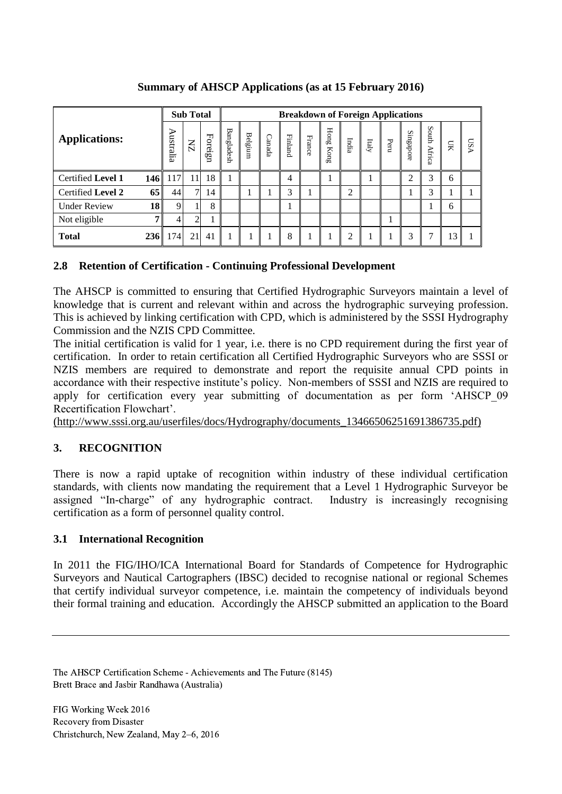| <b>Applications:</b> |                | <b>Sub Total</b> |                |         | <b>Breakdown of Foreign Applications</b> |         |        |                |        |                       |       |       |      |           |                 |           |        |
|----------------------|----------------|------------------|----------------|---------|------------------------------------------|---------|--------|----------------|--------|-----------------------|-------|-------|------|-----------|-----------------|-----------|--------|
|                      |                | ⋗<br>ustralia    | $\overline{M}$ | Foreign | <b>Bangladesh</b>                        | Belgium | Canada | <b>Finland</b> | France | ${\rm Hom}\S$<br>Kong | India | Italy | Peru | Singapore | South<br>Africa | <b>SH</b> | S<br>₻ |
| Certified Level 1    | 146 I          | 117              | 11             | 18      |                                          |         |        | $\overline{4}$ |        |                       |       |       |      | ◠         | 3               | 6         |        |
| Certified Level 2    | 65             | 44               | $\tau$         | 14      |                                          |         |        | 3              |        |                       | ↑     |       |      |           | 3               |           |        |
| <b>Under Review</b>  | 18             | 9                |                | 8       |                                          |         |        |                |        |                       |       |       |      |           |                 | 6         |        |
| Not eligible         | 7 <sub>1</sub> |                  | ◠              |         |                                          |         |        |                |        |                       |       |       |      |           |                 |           |        |
| <b>Total</b>         | 236 I          | 174              | 21             | 41      |                                          |         |        | 8              |        |                       | ◠     |       |      | 3         | ⇁               | 13        |        |

**Summary of AHSCP Applications (as at 15 February 2016)**

## **2.8 Retention of Certification - Continuing Professional Development**

The AHSCP is committed to ensuring that Certified Hydrographic Surveyors maintain a level of knowledge that is current and relevant within and across the hydrographic surveying profession. This is achieved by linking certification with CPD, which is administered by the SSSI Hydrography Commission and the NZIS CPD Committee.

The initial certification is valid for 1 year, i.e. there is no CPD requirement during the first year of certification. In order to retain certification all Certified Hydrographic Surveyors who are SSSI or NZIS members are required to demonstrate and report the requisite annual CPD points in accordance with their respective institute's policy. Non-members of SSSI and NZIS are required to apply for certification every year submitting of documentation as per form 'AHSCP\_09 Recertification Flowchart'.

[\(http://www.sssi.org.au/userfiles/docs/Hydrography/documents\\_13466506251691386735.pdf\)](http://www.sssi.org.au/userfiles/docs/Hydrography/documents_13466506251691386735.pdf)

# **3. RECOGNITION**

There is now a rapid uptake of recognition within industry of these individual certification standards, with clients now mandating the requirement that a Level 1 Hydrographic Surveyor be assigned "In-charge" of any hydrographic contract. Industry is increasingly recognising certification as a form of personnel quality control.

## **3.1 International Recognition**

In 2011 the FIG/IHO/ICA International Board for Standards of Competence for Hydrographic Surveyors and Nautical Cartographers (IBSC) decided to recognise national or regional Schemes that certify individual surveyor competence, i.e. maintain the competency of individuals beyond their formal training and education. Accordingly the AHSCP submitted an application to the Board

The AHSCP Certification Scheme - Achievements and The Future (8145) Brett Brace and Jasbir Randhawa (Australia)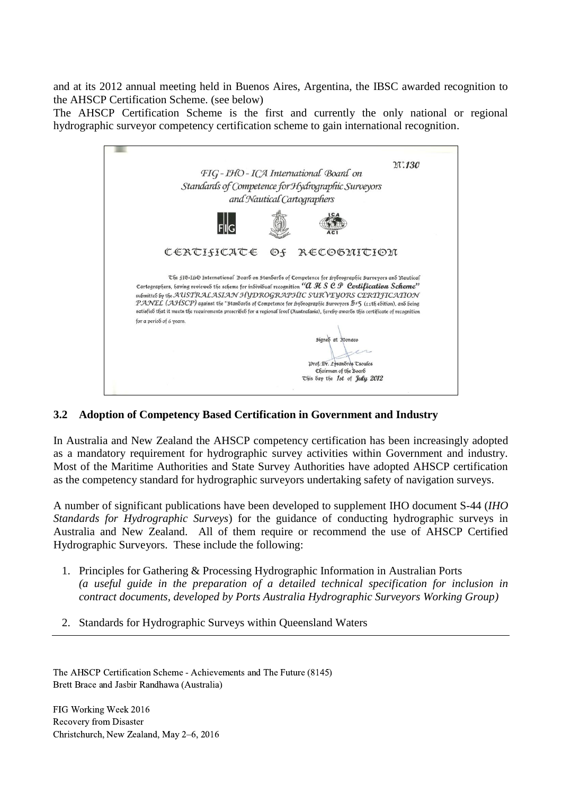and at its 2012 annual meeting held in Buenos Aires, Argentina, the IBSC awarded recognition to the AHSCP Certification Scheme. (see below)

The AHSCP Certification Scheme is the first and currently the only national or regional hydrographic surveyor competency certification scheme to gain international recognition.



### **3.2 Adoption of Competency Based Certification in Government and Industry**

In Australia and New Zealand the AHSCP competency certification has been increasingly adopted as a mandatory requirement for hydrographic survey activities within Government and industry. Most of the Maritime Authorities and State Survey Authorities have adopted AHSCP certification as the competency standard for hydrographic surveyors undertaking safety of navigation surveys.

A number of significant publications have been developed to supplement IHO document S-44 (*IHO Standards for Hydrographic Surveys*) for the guidance of conducting hydrographic surveys in Australia and New Zealand. All of them require or recommend the use of AHSCP Certified Hydrographic Surveyors. These include the following:

- 1. Principles for Gathering & Processing Hydrographic Information in Australian Ports *(a useful guide in the preparation of a detailed technical specification for inclusion in contract documents, developed by Ports Australia Hydrographic Surveyors Working Group)*
- 2. Standards for Hydrographic Surveys within Queensland Waters

The AHSCP Certification Scheme - Achievements and The Future (8145) Brett Brace and Jasbir Randhawa (Australia)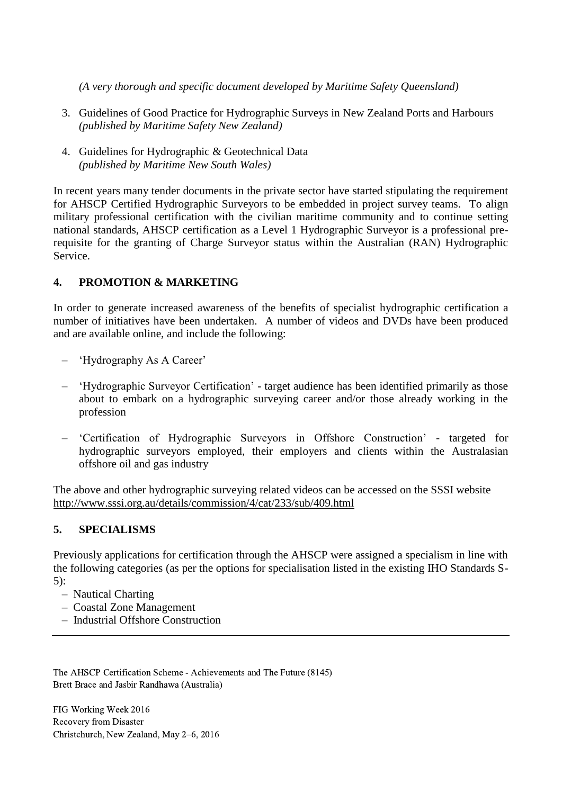*(A very thorough and specific document developed by Maritime Safety Queensland)*

- 3. Guidelines of Good Practice for Hydrographic Surveys in New Zealand Ports and Harbours *(published by Maritime Safety New Zealand)*
- 4. Guidelines for Hydrographic & Geotechnical Data *(published by Maritime New South Wales)*

In recent years many tender documents in the private sector have started stipulating the requirement for AHSCP Certified Hydrographic Surveyors to be embedded in project survey teams. To align military professional certification with the civilian maritime community and to continue setting national standards, AHSCP certification as a Level 1 Hydrographic Surveyor is a professional prerequisite for the granting of Charge Surveyor status within the Australian (RAN) Hydrographic Service.

### **4. PROMOTION & MARKETING**

In order to generate increased awareness of the benefits of specialist hydrographic certification a number of initiatives have been undertaken. A number of videos and DVDs have been produced and are available online, and include the following:

- 'Hydrography As A Career'
- 'Hydrographic Surveyor Certification' target audience has been identified primarily as those about to embark on a hydrographic surveying career and/or those already working in the profession
- 'Certification of Hydrographic Surveyors in Offshore Construction' targeted for hydrographic surveyors employed, their employers and clients within the Australasian offshore oil and gas industry

The above and other hydrographic surveying related videos can be accessed on the SSSI website <http://www.sssi.org.au/details/commission/4/cat/233/sub/409.html>

### **5. SPECIALISMS**

Previously applications for certification through the AHSCP were assigned a specialism in line with the following categories (as per the options for specialisation listed in the existing IHO Standards S-5):

- Nautical Charting
- Coastal Zone Management
- Industrial Offshore Construction

The AHSCP Certification Scheme - Achievements and The Future (8145) Brett Brace and Jasbir Randhawa (Australia)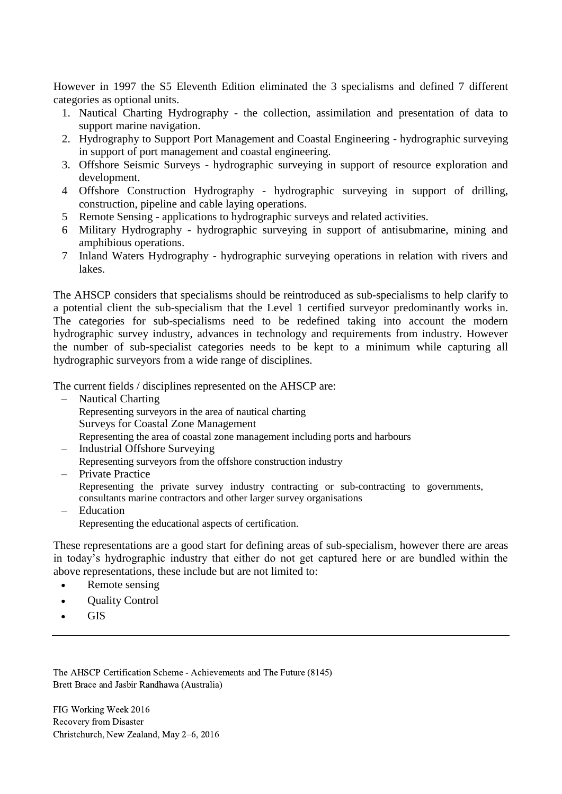However in 1997 the S5 Eleventh Edition eliminated the 3 specialisms and defined 7 different categories as optional units.

- 1. Nautical Charting Hydrography the collection, assimilation and presentation of data to support marine navigation.
- 2. Hydrography to Support Port Management and Coastal Engineering hydrographic surveying in support of port management and coastal engineering.
- 3. Offshore Seismic Surveys hydrographic surveying in support of resource exploration and development.
- 4 Offshore Construction Hydrography hydrographic surveying in support of drilling, construction, pipeline and cable laying operations.
- 5 Remote Sensing applications to hydrographic surveys and related activities.
- 6 Military Hydrography hydrographic surveying in support of antisubmarine, mining and amphibious operations.
- 7 Inland Waters Hydrography hydrographic surveying operations in relation with rivers and lakes.

The AHSCP considers that specialisms should be reintroduced as sub-specialisms to help clarify to a potential client the sub-specialism that the Level 1 certified surveyor predominantly works in. The categories for sub-specialisms need to be redefined taking into account the modern hydrographic survey industry, advances in technology and requirements from industry. However the number of sub-specialist categories needs to be kept to a minimum while capturing all hydrographic surveyors from a wide range of disciplines.

The current fields / disciplines represented on the AHSCP are:

- Nautical Charting Representing surveyors in the area of nautical charting Surveys for Coastal Zone Management Representing the area of coastal zone management including ports and harbours
- Industrial Offshore Surveying Representing surveyors from the offshore construction industry
- Private Practice Representing the private survey industry contracting or sub-contracting to governments, consultants marine contractors and other larger survey organisations
- Education Representing the educational aspects of certification.

These representations are a good start for defining areas of sub-specialism, however there are areas in today's hydrographic industry that either do not get captured here or are bundled within the above representations, these include but are not limited to:

- Remote sensing
- Quality Control
- GIS

The AHSCP Certification Scheme - Achievements and The Future (8145) Brett Brace and Jasbir Randhawa (Australia)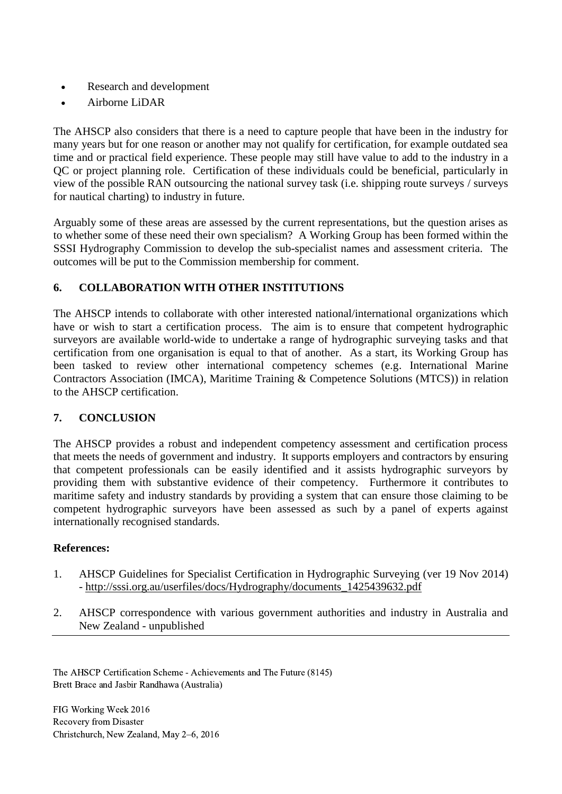- Research and development
- Airborne LiDAR

The AHSCP also considers that there is a need to capture people that have been in the industry for many years but for one reason or another may not qualify for certification, for example outdated sea time and or practical field experience. These people may still have value to add to the industry in a QC or project planning role. Certification of these individuals could be beneficial, particularly in view of the possible RAN outsourcing the national survey task (i.e. shipping route surveys / surveys for nautical charting) to industry in future.

Arguably some of these areas are assessed by the current representations, but the question arises as to whether some of these need their own specialism? A Working Group has been formed within the SSSI Hydrography Commission to develop the sub-specialist names and assessment criteria. The outcomes will be put to the Commission membership for comment.

# **6. COLLABORATION WITH OTHER INSTITUTIONS**

The AHSCP intends to collaborate with other interested national/international organizations which have or wish to start a certification process. The aim is to ensure that competent hydrographic surveyors are available world-wide to undertake a range of hydrographic surveying tasks and that certification from one organisation is equal to that of another. As a start, its Working Group has been tasked to review other international competency schemes (e.g. International Marine Contractors Association (IMCA), Maritime Training & Competence Solutions (MTCS)) in relation to the AHSCP certification.

## **7. CONCLUSION**

The AHSCP provides a robust and independent competency assessment and certification process that meets the needs of government and industry. It supports employers and contractors by ensuring that competent professionals can be easily identified and it assists hydrographic surveyors by providing them with substantive evidence of their competency. Furthermore it contributes to maritime safety and industry standards by providing a system that can ensure those claiming to be competent hydrographic surveyors have been assessed as such by a panel of experts against internationally recognised standards.

### **References:**

- 1. AHSCP Guidelines for Specialist Certification in Hydrographic Surveying (ver 19 Nov 2014) - [http://sssi.org.au/userfiles/docs/Hydrography/documents\\_1425439632.pdf](http://sssi.org.au/userfiles/docs/Hydrography/documents_1425439632.pdf)
- 2. AHSCP correspondence with various government authorities and industry in Australia and New Zealand - unpublished

The AHSCP Certification Scheme - Achievements and The Future (8145) Brett Brace and Jasbir Randhawa (Australia)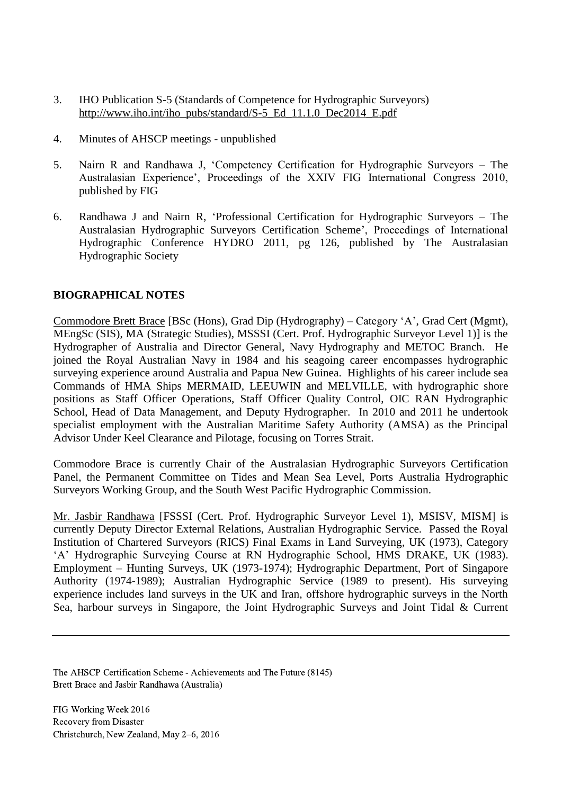- 3. IHO Publication S-5 (Standards of Competence for Hydrographic Surveyors) [http://www.iho.int/iho\\_pubs/standard/S-5\\_Ed\\_11.1.0\\_Dec2014\\_E.pdf](http://www.iho.int/iho_pubs/standard/S-5_Ed_11.1.0_Dec2014_E.pdf)
- 4. Minutes of AHSCP meetings unpublished
- 5. Nairn R and Randhawa J, 'Competency Certification for Hydrographic Surveyors The Australasian Experience', Proceedings of the XXIV FIG International Congress 2010, published by FIG
- 6. Randhawa J and Nairn R, 'Professional Certification for Hydrographic Surveyors The Australasian Hydrographic Surveyors Certification Scheme', Proceedings of International Hydrographic Conference HYDRO 2011, pg 126, published by The Australasian Hydrographic Society

#### **BIOGRAPHICAL NOTES**

Commodore Brett Brace [BSc (Hons), Grad Dip (Hydrography) – Category 'A', Grad Cert (Mgmt), MEngSc (SIS), MA (Strategic Studies), MSSSI (Cert. Prof. Hydrographic Surveyor Level 1)] is the Hydrographer of Australia and Director General, Navy Hydrography and METOC Branch. He joined the Royal Australian Navy in 1984 and his seagoing career encompasses hydrographic surveying experience around Australia and Papua New Guinea. Highlights of his career include sea Commands of HMA Ships MERMAID, LEEUWIN and MELVILLE, with hydrographic shore positions as Staff Officer Operations, Staff Officer Quality Control, OIC RAN Hydrographic School, Head of Data Management, and Deputy Hydrographer. In 2010 and 2011 he undertook specialist employment with the Australian Maritime Safety Authority (AMSA) as the Principal Advisor Under Keel Clearance and Pilotage, focusing on Torres Strait.

Commodore Brace is currently Chair of the Australasian Hydrographic Surveyors Certification Panel, the Permanent Committee on Tides and Mean Sea Level, Ports Australia Hydrographic Surveyors Working Group, and the South West Pacific Hydrographic Commission.

Mr. Jasbir Randhawa [FSSSI (Cert. Prof. Hydrographic Surveyor Level 1), MSISV, MISM] is currently Deputy Director External Relations, Australian Hydrographic Service. Passed the Royal Institution of Chartered Surveyors (RICS) Final Exams in Land Surveying, UK (1973), Category 'A' Hydrographic Surveying Course at RN Hydrographic School, HMS DRAKE, UK (1983). Employment – Hunting Surveys, UK (1973-1974); Hydrographic Department, Port of Singapore Authority (1974-1989); Australian Hydrographic Service (1989 to present). His surveying experience includes land surveys in the UK and Iran, offshore hydrographic surveys in the North Sea, harbour surveys in Singapore, the Joint Hydrographic Surveys and Joint Tidal & Current

The AHSCP Certification Scheme - Achievements and The Future (8145) Brett Brace and Jasbir Randhawa (Australia)